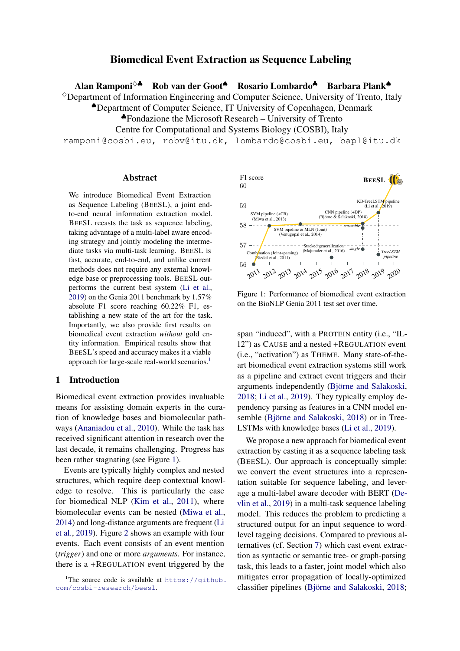# Biomedical Event Extraction as Sequence Labeling

Alan Ramponi<sup>◇▲</sup> Rob van der Goot<sup>▲</sup> Rosario Lombardo<sup>▲</sup> Barbara Plank<sup>▲</sup>

 $\Diamond$ Department of Information Engineering and Computer Science, University of Trento, Italy

♠Department of Computer Science, IT University of Copenhagen, Denmark

♣Fondazione the Microsoft Research – University of Trento

Centre for Computational and Systems Biology (COSBI), Italy

ramponi@cosbi.eu, robv@itu.dk, lombardo@cosbi.eu, bapl@itu.dk

### Abstract

We introduce Biomedical Event Extraction as Sequence Labeling (BEESL), a joint endto-end neural information extraction model. BEESL recasts the task as sequence labeling, taking advantage of a multi-label aware encoding strategy and jointly modeling the intermediate tasks via multi-task learning. BEESL is fast, accurate, end-to-end, and unlike current methods does not require any external knowledge base or preprocessing tools. BEESL outperforms the current best system [\(Li et al.,](#page-9-0) [2019\)](#page-9-0) on the Genia 2011 benchmark by 1.57% absolute F1 score reaching 60.22% F1, establishing a new state of the art for the task. Importantly, we also provide first results on biomedical event extraction *without* gold entity information. Empirical results show that BEESL's speed and accuracy makes it a viable approach for large-scale real-world scenarios.<sup>[1](#page-0-0)</sup>

# 1 Introduction

Biomedical event extraction provides invaluable means for assisting domain experts in the curation of knowledge bases and biomolecular pathways [\(Ananiadou et al.,](#page-8-0) [2010\)](#page-8-0). While the task has received significant attention in research over the last decade, it remains challenging. Progress has been rather stagnating (see Figure [1\)](#page-0-1).

Events are typically highly complex and nested structures, which require deep contextual knowledge to resolve. This is particularly the case for biomedical NLP [\(Kim et al.,](#page-8-1) [2011\)](#page-8-1), where biomolecular events can be nested [\(Miwa et al.,](#page-9-1) [2014\)](#page-9-1) and long-distance arguments are frequent [\(Li](#page-9-0) [et al.,](#page-9-0) [2019\)](#page-9-0). Figure [2](#page-1-0) shows an example with four events. Each event consists of an event mention (*trigger*) and one or more *arguments*. For instance, there is a +REGULATION event triggered by the

<span id="page-0-1"></span>

Figure 1: Performance of biomedical event extraction on the BioNLP Genia 2011 test set over time.

span "induced", with a PROTEIN entity (i.e., "IL-12") as CAUSE and a nested +REGULATION event (i.e., "activation") as THEME. Many state-of-theart biomedical event extraction systems still work as a pipeline and extract event triggers and their arguments independently (Björne and Salakoski, [2018;](#page-8-2) [Li et al.,](#page-9-0) [2019\)](#page-9-0). They typically employ dependency parsing as features in a CNN model en-semble (Björne and Salakoski, [2018\)](#page-8-2) or in Tree-LSTMs with knowledge bases [\(Li et al.,](#page-9-0) [2019\)](#page-9-0).

We propose a new approach for biomedical event extraction by casting it as a sequence labeling task (BEESL). Our approach is conceptually simple: we convert the event structures into a representation suitable for sequence labeling, and leverage a multi-label aware decoder with BERT [\(De](#page-8-3)[vlin et al.,](#page-8-3) [2019\)](#page-8-3) in a multi-task sequence labeling model. This reduces the problem to predicting a structured output for an input sequence to wordlevel tagging decisions. Compared to previous alternatives (cf. Section [7\)](#page-7-0) which cast event extraction as syntactic or semantic tree- or graph-parsing task, this leads to a faster, joint model which also mitigates error propagation of locally-optimized classifier pipelines (Björne and Salakoski, [2018;](#page-8-2)

<span id="page-0-0"></span><sup>&</sup>lt;sup>1</sup>The source code is available at  $https://github.$ [com/cosbi-research/beesl](https://github.com/cosbi-research/beesl).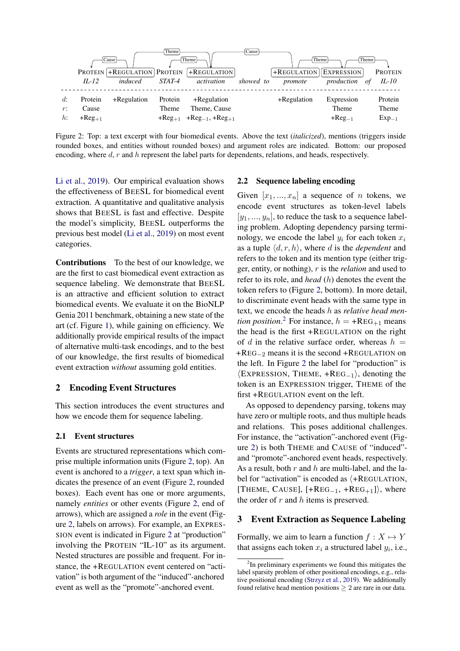<span id="page-1-0"></span>

Figure 2: Top: a text excerpt with four biomedical events. Above the text (*italicized*), mentions (triggers inside rounded boxes, and entities without rounded boxes) and argument roles are indicated. Bottom: our proposed encoding, where d, r and h represent the label parts for dependents, relations, and heads, respectively.

[Li et al.,](#page-9-0) [2019\)](#page-9-0). Our empirical evaluation shows the effectiveness of BEESL for biomedical event extraction. A quantitative and qualitative analysis shows that BEESL is fast and effective. Despite the model's simplicity, BEESL outperforms the previous best model [\(Li et al.,](#page-9-0) [2019\)](#page-9-0) on most event categories.

Contributions To the best of our knowledge, we are the first to cast biomedical event extraction as sequence labeling. We demonstrate that BEESL is an attractive and efficient solution to extract biomedical events. We evaluate it on the BioNLP Genia 2011 benchmark, obtaining a new state of the art (cf. Figure [1\)](#page-0-1), while gaining on efficiency. We additionally provide empirical results of the impact of alternative multi-task encodings, and to the best of our knowledge, the first results of biomedical event extraction *without* assuming gold entities.

## 2 Encoding Event Structures

This section introduces the event structures and how we encode them for sequence labeling.

# 2.1 Event structures

Events are structured representations which comprise multiple information units (Figure [2,](#page-1-0) top). An event is anchored to a *trigger*, a text span which indicates the presence of an event (Figure [2,](#page-1-0) rounded boxes). Each event has one or more arguments, namely *entities* or other events (Figure [2,](#page-1-0) end of arrows), which are assigned a *role* in the event (Figure [2,](#page-1-0) labels on arrows). For example, an EXPRES-SION event is indicated in Figure [2](#page-1-0) at "production" involving the PROTEIN "IL-10" as its argument. Nested structures are possible and frequent. For instance, the +REGULATION event centered on "activation" is both argument of the "induced"-anchored event as well as the "promote"-anchored event.

## 2.2 Sequence labeling encoding

Given  $[x_1, ..., x_n]$  a sequence of *n* tokens, we encode event structures as token-level labels  $[y_1, ..., y_n]$ , to reduce the task to a sequence labeling problem. Adopting dependency parsing terminology, we encode the label  $y_i$  for each token  $x_i$ as a tuple  $\langle d, r, h \rangle$ , where d is the *dependent* and refers to the token and its mention type (either trigger, entity, or nothing), r is the *relation* and used to refer to its role, and *head* (h) denotes the event the token refers to (Figure [2,](#page-1-0) bottom). In more detail, to discriminate event heads with the same type in text, we encode the heads h as *relative head mention position*.<sup>[2](#page-1-1)</sup> For instance,  $h = +\text{REG}_{+1}$  means the head is the first +REGULATION on the right of d in the relative surface order, whereas  $h =$ +REG−<sup>2</sup> means it is the second +REGULATION on the left. In Figure [2](#page-1-0) the label for "production" is  $\langle$ EXPRESSION, THEME, +REG<sub>-1</sub> $\rangle$ , denoting the token is an EXPRESSION trigger, THEME of the first +REGULATION event on the left.

As opposed to dependency parsing, tokens may have zero or multiple roots, and thus multiple heads and relations. This poses additional challenges. For instance, the "activation"-anchored event (Figure [2\)](#page-1-0) is both THEME and CAUSE of "induced" and "promote"-anchored event heads, respectively. As a result, both  $r$  and  $h$  are multi-label, and the label for "activation" is encoded as  $\langle +$ REGULATION, [THEME, CAUSE],  $[+REG_{-1}, +REG_{+1}]$ , where the order of  $r$  and  $h$  items is preserved.

## 3 Event Extraction as Sequence Labeling

Formally, we aim to learn a function  $f : X \mapsto Y$ that assigns each token  $x_i$  a structured label  $y_i$ , i.e.,

<span id="page-1-1"></span><sup>&</sup>lt;sup>2</sup>In preliminary experiments we found this mitigates the label sparsity problem of other positional encodings, e.g., relative positional encoding [\(Strzyz et al.,](#page-9-2) [2019\)](#page-9-2). We additionally found relative head mention positions  $\geq 2$  are rare in our data.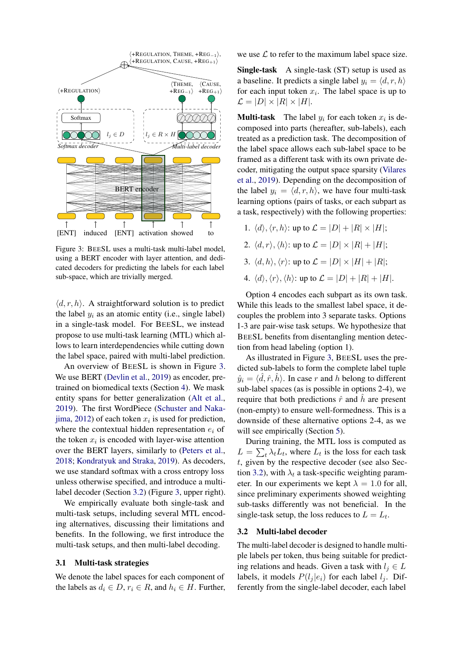<span id="page-2-0"></span>

Figure 3: BEESL uses a multi-task multi-label model, using a BERT encoder with layer attention, and dedicated decoders for predicting the labels for each label sub-space, which are trivially merged.

 $\langle d, r, h \rangle$ . A straightforward solution is to predict the label  $y_i$  as an atomic entity (i.e., single label) in a single-task model. For BEESL, we instead propose to use multi-task learning (MTL) which allows to learn interdependencies while cutting down the label space, paired with multi-label prediction.

An overview of BEESL is shown in Figure [3.](#page-2-0) We use BERT [\(Devlin et al.,](#page-8-3) [2019\)](#page-8-3) as encoder, pretrained on biomedical texts (Section [4\)](#page-3-0). We mask entity spans for better generalization [\(Alt et al.,](#page-8-4) [2019\)](#page-8-4). The first WordPiece [\(Schuster and Naka](#page-9-3)[jima,](#page-9-3) [2012\)](#page-9-3) of each token  $x_i$  is used for prediction, where the contextual hidden representation  $e_i$  of the token  $x_i$  is encoded with layer-wise attention over the BERT layers, similarly to [\(Peters et al.,](#page-9-4) [2018;](#page-9-4) [Kondratyuk and Straka,](#page-8-5) [2019\)](#page-8-5). As decoders, we use standard softmax with a cross entropy loss unless otherwise specified, and introduce a multilabel decoder (Section [3.2\)](#page-2-1) (Figure [3,](#page-2-0) upper right).

We empirically evaluate both single-task and multi-task setups, including several MTL encoding alternatives, discussing their limitations and benefits. In the following, we first introduce the multi-task setups, and then multi-label decoding.

### 3.1 Multi-task strategies

We denote the label spaces for each component of the labels as  $d_i \in D$ ,  $r_i \in R$ , and  $h_i \in H$ . Further, we use  $\mathcal L$  to refer to the maximum label space size.

Single-task A single-task (ST) setup is used as a baseline. It predicts a single label  $y_i = \langle d, r, h \rangle$ for each input token  $x_i$ . The label space is up to  $\mathcal{L} = |D| \times |R| \times |H|.$ 

**Multi-task** The label  $y_i$  for each token  $x_i$  is decomposed into parts (hereafter, sub-labels), each treated as a prediction task. The decomposition of the label space allows each sub-label space to be framed as a different task with its own private decoder, mitigating the output space sparsity [\(Vilares](#page-9-5) [et al.,](#page-9-5) [2019\)](#page-9-5). Depending on the decomposition of the label  $y_i = \langle d, r, h \rangle$ , we have four multi-task learning options (pairs of tasks, or each subpart as a task, respectively) with the following properties:

- 1.  $\langle d \rangle$ ,  $\langle r, h \rangle$ : up to  $\mathcal{L} = |D| + |R| \times |H|$ ;
- 2.  $\langle d, r \rangle$ ,  $\langle h \rangle$ : up to  $\mathcal{L} = |D| \times |R| + |H|$ ;
- 3.  $\langle d, h \rangle$ ,  $\langle r \rangle$ : up to  $\mathcal{L} = |D| \times |H| + |R|$ ;
- 4.  $\langle d \rangle$ ,  $\langle r \rangle$ ,  $\langle h \rangle$ : up to  $\mathcal{L} = |D| + |R| + |H|$ .

Option 4 encodes each subpart as its own task. While this leads to the smallest label space, it decouples the problem into 3 separate tasks. Options 1-3 are pair-wise task setups. We hypothesize that BEESL benefits from disentangling mention detection from head labeling (option 1).

As illustrated in Figure [3,](#page-2-0) BEESL uses the predicted sub-labels to form the complete label tuple  $\hat{y}_i = \langle \hat{d}, \hat{r}, \hat{h} \rangle$ . In case r and h belong to different sub-label spaces (as is possible in options 2-4), we require that both predictions  $\hat{r}$  and  $\hat{h}$  are present (non-empty) to ensure well-formedness. This is a downside of these alternative options 2-4, as we will see empirically (Section [5\)](#page-3-1).

During training, the MTL loss is computed as  $L = \sum_t \lambda_t L_t$ , where  $L_t$  is the loss for each task t, given by the respective decoder (see also Sec-tion [3.2\)](#page-2-1), with  $\lambda_t$  a task-specific weighting parameter. In our experiments we kept  $\lambda = 1.0$  for all, since preliminary experiments showed weighting sub-tasks differently was not beneficial. In the single-task setup, the loss reduces to  $L = L_t$ .

# <span id="page-2-1"></span>3.2 Multi-label decoder

The multi-label decoder is designed to handle multiple labels per token, thus being suitable for predicting relations and heads. Given a task with  $l_i \in L$ labels, it models  $P(l_i | e_i)$  for each label  $l_i$ . Differently from the single-label decoder, each label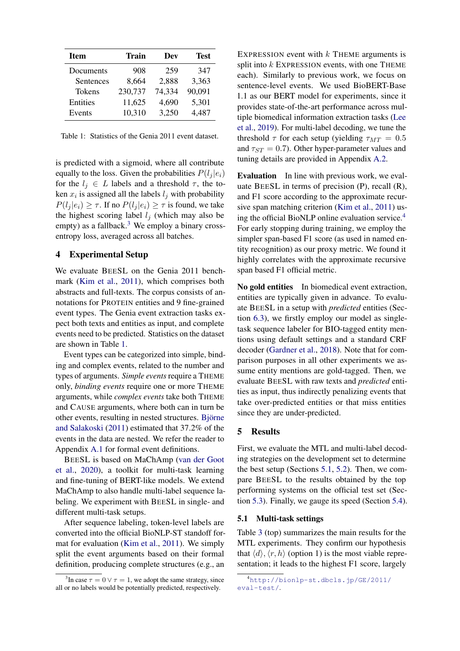<span id="page-3-3"></span>

| <b>Item</b> | <b>Train</b> | Dev    | Test   |
|-------------|--------------|--------|--------|
| Documents   | 908          | 259    | 347    |
| Sentences   | 8,664        | 2,888  | 3,363  |
| Tokens      | 230,737      | 74,334 | 90,091 |
| Entities    | 11,625       | 4,690  | 5,301  |
| Events      | 10,310       | 3,250  | 4,487  |

Table 1: Statistics of the Genia 2011 event dataset.

is predicted with a sigmoid, where all contribute equally to the loss. Given the probabilities  $P(l_i | e_i)$ for the  $l_i \in L$  labels and a threshold  $\tau$ , the token  $x_i$  is assigned all the labels  $l_j$  with probability  $P(l_i | e_i) \geq \tau$ . If no  $P(l_i | e_i) \geq \tau$  is found, we take the highest scoring label  $l_i$  (which may also be empty) as a fallback.<sup>[3](#page-3-2)</sup> We employ a binary crossentropy loss, averaged across all batches.

# <span id="page-3-0"></span>4 Experimental Setup

We evaluate BEESL on the Genia 2011 benchmark [\(Kim et al.,](#page-8-1) [2011\)](#page-8-1), which comprises both abstracts and full-texts. The corpus consists of annotations for PROTEIN entities and 9 fine-grained event types. The Genia event extraction tasks expect both texts and entities as input, and complete events need to be predicted. Statistics on the dataset are shown in Table [1.](#page-3-3)

Event types can be categorized into simple, binding and complex events, related to the number and types of arguments. *Simple events* require a THEME only, *binding events* require one or more THEME arguments, while *complex events* take both THEME and CAUSE arguments, where both can in turn be other events, resulting in nested structures. Björne [and Salakoski](#page-8-6) [\(2011\)](#page-8-6) estimated that 37.2% of the events in the data are nested. We refer the reader to Appendix [A.1](#page-10-0) for formal event definitions.

BEESL is based on MaChAmp [\(van der Goot](#page-8-7) [et al.,](#page-8-7) [2020\)](#page-8-7), a toolkit for multi-task learning and fine-tuning of BERT-like models. We extend MaChAmp to also handle multi-label sequence labeling. We experiment with BEESL in single- and different multi-task setups.

After sequence labeling, token-level labels are converted into the official BioNLP-ST standoff format for evaluation [\(Kim et al.,](#page-8-1) [2011\)](#page-8-1). We simply split the event arguments based on their formal definition, producing complete structures (e.g., an

EXPRESSION event with  $k$  THEME arguments is split into  $k$  EXPRESSION events, with one THEME each). Similarly to previous work, we focus on sentence-level events. We used BioBERT-Base 1.1 as our BERT model for experiments, since it provides state-of-the-art performance across multiple biomedical information extraction tasks [\(Lee](#page-8-8) [et al.,](#page-8-8) [2019\)](#page-8-8). For multi-label decoding, we tune the threshold  $\tau$  for each setup (yielding  $\tau_{MT} = 0.5$ and  $\tau_{ST} = 0.7$ ). Other hyper-parameter values and tuning details are provided in Appendix [A.2.](#page-10-1)

Evaluation In line with previous work, we evaluate BEESL in terms of precision (P), recall (R), and F1 score according to the approximate recursive span matching criterion [\(Kim et al.,](#page-8-1) [2011\)](#page-8-1) using the official BioNLP online evaluation service.[4](#page-3-4) For early stopping during training, we employ the simpler span-based F1 score (as used in named entity recognition) as our proxy metric. We found it highly correlates with the approximate recursive span based F1 official metric.

No gold entities In biomedical event extraction, entities are typically given in advance. To evaluate BEESL in a setup with *predicted* entities (Section [6.3\)](#page-6-0), we firstly employ our model as singletask sequence labeler for BIO-tagged entity mentions using default settings and a standard CRF decoder [\(Gardner et al.,](#page-8-9) [2018\)](#page-8-9). Note that for comparison purposes in all other experiments we assume entity mentions are gold-tagged. Then, we evaluate BEESL with raw texts and *predicted* entities as input, thus indirectly penalizing events that take over-predicted entities or that miss entities since they are under-predicted.

### <span id="page-3-1"></span>5 Results

First, we evaluate the MTL and multi-label decoding strategies on the development set to determine the best setup (Sections [5.1,](#page-3-5) [5.2\)](#page-4-0). Then, we compare BEESL to the results obtained by the top performing systems on the official test set (Section [5.3\)](#page-4-1). Finally, we gauge its speed (Section [5.4\)](#page-5-0).

### <span id="page-3-5"></span>5.1 Multi-task settings

Table [3](#page-4-2) (top) summarizes the main results for the MTL experiments. They confirm our hypothesis that  $\langle d \rangle$ ,  $\langle r, h \rangle$  (option 1) is the most viable representation; it leads to the highest F1 score, largely

<span id="page-3-2"></span><sup>&</sup>lt;sup>3</sup>In case  $\tau = 0 \vee \tau = 1$ , we adopt the same strategy, since all or no labels would be potentially predicted, respectively.

<span id="page-3-4"></span><sup>4</sup>[http://bionlp-st.dbcls.jp/GE/2011/](http://bionlp-st.dbcls.jp/GE/2011/eval-test/) [eval-test/](http://bionlp-st.dbcls.jp/GE/2011/eval-test/).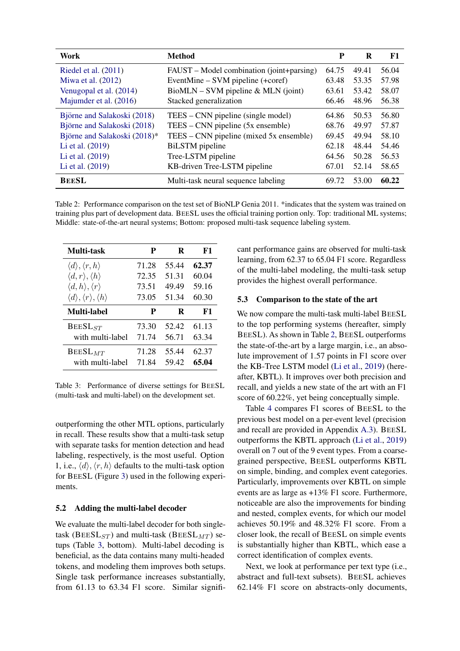<span id="page-4-3"></span>

| <b>Work</b>                  | <b>Method</b>                             | P     | R     | F1    |
|------------------------------|-------------------------------------------|-------|-------|-------|
| Riedel et al. $(2011)$       | FAUST – Model combination (joint+parsing) | 64.75 | 49.41 | 56.04 |
| Miwa et al. $(2012)$         | EventMine – SVM pipeline (+coref)         | 63.48 | 53.35 | 57.98 |
| Venugopal et al. (2014)      | $BiomLN - SVM pipeline & MLN (joint)$     | 63.61 | 53.42 | 58.07 |
| Majumder et al. (2016)       | Stacked generalization                    | 66.46 | 48.96 | 56.38 |
| Björne and Salakoski (2018)  | TEES – CNN pipeline (single model)        | 64.86 | 50.53 | 56.80 |
| Björne and Salakoski (2018)  | $TEES - CNN$ pipeline $(5x$ ensemble)     | 68.76 | 49.97 | 57.87 |
| Björne and Salakoski (2018)* | TEES – CNN pipeline (mixed 5x ensemble)   | 69.45 | 49.94 | 58.10 |
| Li et al. (2019)             | <b>BiLSTM</b> pipeline                    | 62.18 | 48.44 | 54.46 |
| Li et al. (2019)             | Tree-LSTM pipeline                        | 64.56 | 50.28 | 56.53 |
| Li et al. (2019)             | KB-driven Tree-LSTM pipeline              | 67.01 | 52.14 | 58.65 |
| <b>BEESL</b>                 | Multi-task neural sequence labeling       | 69.72 | 53.00 | 60.22 |

Table 2: Performance comparison on the test set of BioNLP Genia 2011. \*indicates that the system was trained on training plus part of development data. BEESL uses the official training portion only. Top: traditional ML systems; Middle: state-of-the-art neural systems; Bottom: proposed multi-task sequence labeling system.

<span id="page-4-2"></span>

| Multi-task                                                | P     | R     | F1    |
|-----------------------------------------------------------|-------|-------|-------|
| $\langle d \rangle, \langle r, h \rangle$                 | 71.28 | 55.44 | 62.37 |
| $\langle d, r \rangle, \langle h \rangle$                 | 72.35 | 51.31 | 60.04 |
| $\langle d, h \rangle, \langle r \rangle$                 | 73.51 | 49.49 | 59.16 |
| $\langle d \rangle, \langle r \rangle, \langle h \rangle$ | 73.05 | 51.34 | 60.30 |
| Multi-label                                               | P     | R     | F1    |
| $BEESL_{ST}$                                              | 73.30 | 52.42 | 61.13 |
| with multi-label                                          | 71.74 | 56.71 | 63.34 |
| $BEESL_{MT}$                                              | 71.28 | 55.44 | 62.37 |
| with multi-label                                          | 71.84 | 59.42 | 65.04 |

Table 3: Performance of diverse settings for BEESL (multi-task and multi-label) on the development set.

outperforming the other MTL options, particularly in recall. These results show that a multi-task setup with separate tasks for mention detection and head labeling, respectively, is the most useful. Option 1, i.e.,  $\langle d \rangle$ ,  $\langle r, h \rangle$  defaults to the multi-task option for BEESL (Figure [3\)](#page-2-0) used in the following experiments.

### <span id="page-4-0"></span>5.2 Adding the multi-label decoder

We evaluate the multi-label decoder for both singletask ( $BEESL<sub>ST</sub>$ ) and multi-task ( $BEESL<sub>MT</sub>$ ) setups (Table [3,](#page-4-2) bottom). Multi-label decoding is beneficial, as the data contains many multi-headed tokens, and modeling them improves both setups. Single task performance increases substantially, from 61.13 to 63.34 F1 score. Similar significant performance gains are observed for multi-task learning, from 62.37 to 65.04 F1 score. Regardless of the multi-label modeling, the multi-task setup provides the highest overall performance.

### <span id="page-4-1"></span>5.3 Comparison to the state of the art

We now compare the multi-task multi-label BEESL to the top performing systems (hereafter, simply BEESL). As shown in Table [2,](#page-4-3) BEESL outperforms the state-of-the-art by a large margin, i.e., an absolute improvement of 1.57 points in F1 score over the KB-Tree LSTM model [\(Li et al.,](#page-9-0) [2019\)](#page-9-0) (hereafter, KBTL). It improves over both precision and recall, and yields a new state of the art with an F1 score of 60.22%, yet being conceptually simple.

Table [4](#page-5-1) compares F1 scores of BEESL to the previous best model on a per-event level (precision and recall are provided in Appendix [A.3\)](#page-10-2). BEESL outperforms the KBTL approach [\(Li et al.,](#page-9-0) [2019\)](#page-9-0) overall on 7 out of the 9 event types. From a coarsegrained perspective, BEESL outperforms KBTL on simple, binding, and complex event categories. Particularly, improvements over KBTL on simple events are as large as +13% F1 score. Furthermore, noticeable are also the improvements for binding and nested, complex events, for which our model achieves 50.19% and 48.32% F1 score. From a closer look, the recall of BEESL on simple events is substantially higher than KBTL, which ease a correct identification of complex events.

Next, we look at performance per text type (i.e., abstract and full-text subsets). BEESL achieves 62.14% F1 score on abstracts-only documents,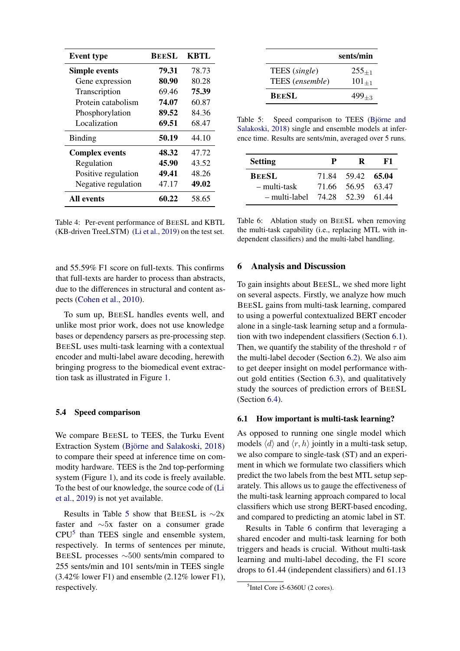<span id="page-5-1"></span>

| <b>Event type</b>     | <b>BEESL</b> | <b>KBTL</b> |
|-----------------------|--------------|-------------|
| <b>Simple events</b>  | 79.31        | 78.73       |
| Gene expression       | 80.90        | 80.28       |
| Transcription         | 69.46        | 75.39       |
| Protein catabolism    | 74.07        | 60.87       |
| Phosphorylation       | 89.52        | 84.36       |
| Localization          | 69.51        | 68.47       |
| Binding               | 50.19        | 44.10       |
| <b>Complex events</b> | 48.32        | 47.72       |
| Regulation            | 45.90        | 43.52       |
| Positive regulation   | 49.41        | 48.26       |
| Negative regulation   | 47.17        | 49.02       |
| All events            | 60.22        | 58.65       |

Table 4: Per-event performance of BEESL and KBTL (KB-driven TreeLSTM) [\(Li et al.,](#page-9-0) [2019\)](#page-9-0) on the test set.

and 55.59% F1 score on full-texts. This confirms that full-texts are harder to process than abstracts, due to the differences in structural and content aspects [\(Cohen et al.,](#page-8-10) [2010\)](#page-8-10).

To sum up, BEESL handles events well, and unlike most prior work, does not use knowledge bases or dependency parsers as pre-processing step. BEESL uses multi-task learning with a contextual encoder and multi-label aware decoding, herewith bringing progress to the biomedical event extraction task as illustrated in Figure [1.](#page-0-1)

## <span id="page-5-0"></span>5.4 Speed comparison

We compare BEESL to TEES, the Turku Event Extraction System (Björne and Salakoski, [2018\)](#page-8-2) to compare their speed at inference time on commodity hardware. TEES is the 2nd top-performing system (Figure [1\)](#page-0-1), and its code is freely available. To the best of our knowledge, the source code of [\(Li](#page-9-0) [et al.,](#page-9-0) [2019\)](#page-9-0) is not yet available.

Results in Table [5](#page-5-2) show that BEESL is  $\sim$ 2x faster and ∼5x faster on a consumer grade  $CPU<sup>5</sup>$  $CPU<sup>5</sup>$  $CPU<sup>5</sup>$  than TEES single and ensemble system, respectively. In terms of sentences per minute, BEESL processes ∼500 sents/min compared to 255 sents/min and 101 sents/min in TEES single (3.42% lower F1) and ensemble (2.12% lower F1), respectively.

<span id="page-5-2"></span>

|                 | sents/min  |
|-----------------|------------|
| TEES (single)   | $255_{+1}$ |
| TEES (ensemble) | $101_{+1}$ |
| <b>BEESL</b>    | $499_{+3}$ |

Table 5: Speed comparison to TEES (Björne and [Salakoski,](#page-8-2) [2018\)](#page-8-2) single and ensemble models at inference time. Results are sents/min, averaged over 5 runs.

<span id="page-5-5"></span>

| <b>Setting</b> | P     | R                 | F1.   |
|----------------|-------|-------------------|-------|
| <b>BEESL</b>   |       | 71.84 59.42 65.04 |       |
| – multi-task   | 71.66 | 56.95 63.47       |       |
| – multi-label  |       | 74.28 52.39       | 61.44 |

Table 6: Ablation study on BEESL when removing the multi-task capability (i.e., replacing MTL with independent classifiers) and the multi-label handling.

### 6 Analysis and Discussion

To gain insights about BEESL, we shed more light on several aspects. Firstly, we analyze how much BEESL gains from multi-task learning, compared to using a powerful contextualized BERT encoder alone in a single-task learning setup and a formulation with two independent classifiers (Section [6.1\)](#page-5-4). Then, we quantify the stability of the threshold  $\tau$  of the multi-label decoder (Section [6.2\)](#page-6-1). We also aim to get deeper insight on model performance without gold entities (Section [6.3\)](#page-6-0), and qualitatively study the sources of prediction errors of BEESL (Section [6.4\)](#page-6-2).

#### <span id="page-5-4"></span>6.1 How important is multi-task learning?

As opposed to running one single model which models  $\langle d \rangle$  and  $\langle r, h \rangle$  jointly in a multi-task setup, we also compare to single-task (ST) and an experiment in which we formulate two classifiers which predict the two labels from the best MTL setup separately. This allows us to gauge the effectiveness of the multi-task learning approach compared to local classifiers which use strong BERT-based encoding, and compared to predicting an atomic label in ST.

Results in Table [6](#page-5-5) confirm that leveraging a shared encoder and multi-task learning for both triggers and heads is crucial. Without multi-task learning and multi-label decoding, the F1 score drops to 61.44 (independent classifiers) and 61.13

<span id="page-5-3"></span><sup>5</sup> Intel Core i5-6360U (2 cores).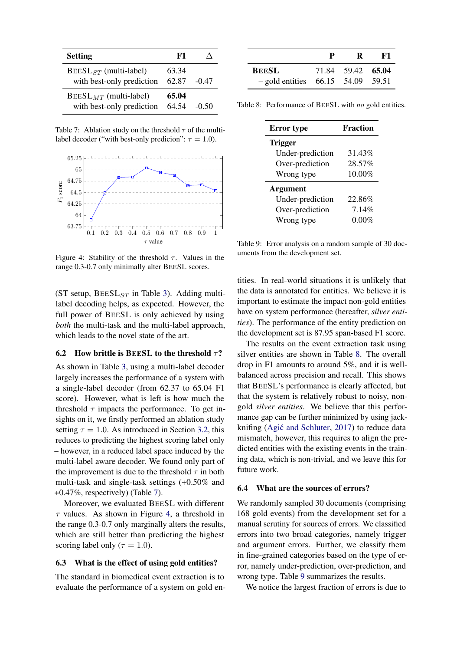<span id="page-6-3"></span>

| <b>Setting</b>                                          | F1             |         |
|---------------------------------------------------------|----------------|---------|
| $BEESLST$ (multi-label)<br>with best-only prediction    | 63.34<br>62.87 | $-0.47$ |
| $BEESL_{MT}$ (multi-label)<br>with best-only prediction | 65.04<br>64.54 | $-0.50$ |

Table 7: Ablation study on the threshold  $\tau$  of the multilabel decoder ("with best-only predicion":  $\tau = 1.0$ ).

<span id="page-6-4"></span>

Figure 4: Stability of the threshold  $\tau$ . Values in the range 0.3-0.7 only minimally alter BEESL scores.

(ST setup,  $BEESL<sub>ST</sub>$  in Table [3\)](#page-4-2). Adding multilabel decoding helps, as expected. However, the full power of BEESL is only achieved by using *both* the multi-task and the multi-label approach, which leads to the novel state of the art.

### <span id="page-6-1"></span>6.2 How brittle is BEESL to the threshold  $\tau$ ?

As shown in Table [3,](#page-4-2) using a multi-label decoder largely increases the performance of a system with a single-label decoder (from 62.37 to 65.04 F1 score). However, what is left is how much the threshold  $\tau$  impacts the performance. To get insights on it, we firstly performed an ablation study setting  $\tau = 1.0$ . As introduced in Section [3.2,](#page-2-1) this reduces to predicting the highest scoring label only – however, in a reduced label space induced by the multi-label aware decoder. We found only part of the improvement is due to the threshold  $\tau$  in both multi-task and single-task settings (+0.50% and +0.47%, respectively) (Table [7\)](#page-6-3).

Moreover, we evaluated BEESL with different  $\tau$  values. As shown in Figure [4,](#page-6-4) a threshold in the range 0.3-0.7 only marginally alters the results, which are still better than predicting the highest scoring label only ( $\tau = 1.0$ ).

### <span id="page-6-0"></span>6.3 What is the effect of using gold entities?

The standard in biomedical event extraction is to evaluate the performance of a system on gold en-

<span id="page-6-5"></span>

|                                     | $\mathbf{p}$ | R                 | - F1 |
|-------------------------------------|--------------|-------------------|------|
| <b>BEESL</b>                        |              | 71.84 59.42 65.04 |      |
| $-$ gold entities 66.15 54.09 59.51 |              |                   |      |

<span id="page-6-6"></span>Table 8: Performance of BEESL with *no* gold entities.

| <b>Error</b> type | <b>Fraction</b> |
|-------------------|-----------------|
| <b>Trigger</b>    |                 |
| Under-prediction  | 31.43%          |
| Over-prediction   | 28.57%          |
| Wrong type        | 10.00%          |
| <b>Argument</b>   |                 |
| Under-prediction  | 22.86%          |
| Over-prediction   | 7.14%           |
| Wrong type        | $0.00\%$        |

Table 9: Error analysis on a random sample of 30 documents from the development set.

tities. In real-world situations it is unlikely that the data is annotated for entities. We believe it is important to estimate the impact non-gold entities have on system performance (hereafter, *silver entities*). The performance of the entity prediction on the development set is 87.95 span-based F1 score.

The results on the event extraction task using silver entities are shown in Table [8.](#page-6-5) The overall drop in F1 amounts to around 5%, and it is wellbalanced across precision and recall. This shows that BEESL's performance is clearly affected, but that the system is relatively robust to noisy, nongold *silver entities*. We believe that this performance gap can be further minimized by using jackknifing  $(Agi\acute{c}$  and Schluter, [2017\)](#page-8-11) to reduce data mismatch, however, this requires to align the predicted entities with the existing events in the training data, which is non-trivial, and we leave this for future work.

### <span id="page-6-2"></span>6.4 What are the sources of errors?

We randomly sampled 30 documents (comprising 168 gold events) from the development set for a manual scrutiny for sources of errors. We classified errors into two broad categories, namely trigger and argument errors. Further, we classify them in fine-grained categories based on the type of error, namely under-prediction, over-prediction, and wrong type. Table [9](#page-6-6) summarizes the results.

We notice the largest fraction of errors is due to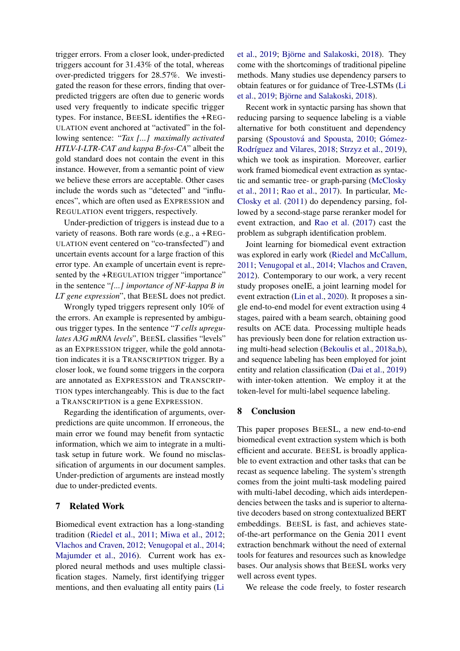trigger errors. From a closer look, under-predicted triggers account for 31.43% of the total, whereas over-predicted triggers for 28.57%. We investigated the reason for these errors, finding that overpredicted triggers are often due to generic words used very frequently to indicate specific trigger types. For instance, BEESL identifies the +REG-ULATION event anchored at "activated" in the following sentence: "*Tax [...] maximally activated HTLV-I-LTR-CAT and kappa B-fos-CA*" albeit the gold standard does not contain the event in this instance. However, from a semantic point of view we believe these errors are acceptable. Other cases include the words such as "detected" and "influences", which are often used as EXPRESSION and REGULATION event triggers, respectively.

Under-prediction of triggers is instead due to a variety of reasons. Both rare words (e.g., a +REG-ULATION event centered on "co-transfected") and uncertain events account for a large fraction of this error type. An example of uncertain event is represented by the +REGULATION trigger "importance" in the sentence "*[...] importance of NF-kappa B in LT gene expression*", that BEESL does not predict.

Wrongly typed triggers represent only 10% of the errors. An example is represented by ambiguous trigger types. In the sentence "*T cells upregulates A3G mRNA levels*", BEESL classifies "levels" as an EXPRESSION trigger, while the gold annotation indicates it is a TRANSCRIPTION trigger. By a closer look, we found some triggers in the corpora are annotated as EXPRESSION and TRANSCRIP-TION types interchangeably. This is due to the fact a TRANSCRIPTION is a gene EXPRESSION.

Regarding the identification of arguments, overpredictions are quite uncommon. If erroneous, the main error we found may benefit from syntactic information, which we aim to integrate in a multitask setup in future work. We found no misclassification of arguments in our document samples. Under-prediction of arguments are instead mostly due to under-predicted events.

# <span id="page-7-0"></span>7 Related Work

Biomedical event extraction has a long-standing tradition [\(Riedel et al.,](#page-9-6) [2011;](#page-9-6) [Miwa et al.,](#page-9-7) [2012;](#page-9-7) [Vlachos and Craven,](#page-9-10) [2012;](#page-9-10) [Venugopal et al.,](#page-9-8) [2014;](#page-9-8) [Majumder et al.,](#page-9-9) [2016\)](#page-9-9). Current work has explored neural methods and uses multiple classification stages. Namely, first identifying trigger mentions, and then evaluating all entity pairs [\(Li](#page-9-0)

[et al.,](#page-9-0) [2019;](#page-9-0) Björne and Salakoski, [2018\)](#page-8-2). They come with the shortcomings of traditional pipeline methods. Many studies use dependency parsers to obtain features or for guidance of Tree-LSTMs [\(Li](#page-9-0) [et al.,](#page-9-0) [2019;](#page-9-0) Björne and Salakoski, [2018\)](#page-8-2).

Recent work in syntactic parsing has shown that reducing parsing to sequence labeling is a viable alternative for both constituent and dependency parsing (Spoustová and Spousta, [2010;](#page-9-11) Gómez-Rodríguez and Vilares, [2018;](#page-8-12) [Strzyz et al.,](#page-9-2) [2019\)](#page-9-2), which we took as inspiration. Moreover, earlier work framed biomedical event extraction as syntactic and semantic tree- or graph-parsing [\(McClosky](#page-9-12) [et al.,](#page-9-12) [2011;](#page-9-12) [Rao et al.,](#page-9-13) [2017\)](#page-9-13). In particular, [Mc-](#page-9-12)[Closky et al.](#page-9-12) [\(2011\)](#page-9-12) do dependency parsing, followed by a second-stage parse reranker model for event extraction, and [Rao et al.](#page-9-13) [\(2017\)](#page-9-13) cast the problem as subgraph identification problem.

Joint learning for biomedical event extraction was explored in early work [\(Riedel and McCallum,](#page-9-14) [2011;](#page-9-14) [Venugopal et al.,](#page-9-8) [2014;](#page-9-8) [Vlachos and Craven,](#page-9-10) [2012\)](#page-9-10). Contemporary to our work, a very recent study proposes oneIE, a joint learning model for event extraction [\(Lin et al.,](#page-9-15) [2020\)](#page-9-15). It proposes a single end-to-end model for event extraction using 4 stages, paired with a beam search, obtaining good results on ACE data. Processing multiple heads has previously been done for relation extraction using multi-head selection [\(Bekoulis et al.,](#page-8-13) [2018a](#page-8-13)[,b\)](#page-8-14), and sequence labeling has been employed for joint entity and relation classification [\(Dai et al.,](#page-8-15) [2019\)](#page-8-15) with inter-token attention. We employ it at the token-level for multi-label sequence labeling.

## 8 Conclusion

This paper proposes BEESL, a new end-to-end biomedical event extraction system which is both efficient and accurate. BEESL is broadly applicable to event extraction and other tasks that can be recast as sequence labeling. The system's strength comes from the joint multi-task modeling paired with multi-label decoding, which aids interdependencies between the tasks and is superior to alternative decoders based on strong contextualized BERT embeddings. BEESL is fast, and achieves stateof-the-art performance on the Genia 2011 event extraction benchmark without the need of external tools for features and resources such as knowledge bases. Our analysis shows that BEESL works very well across event types.

We release the code freely, to foster research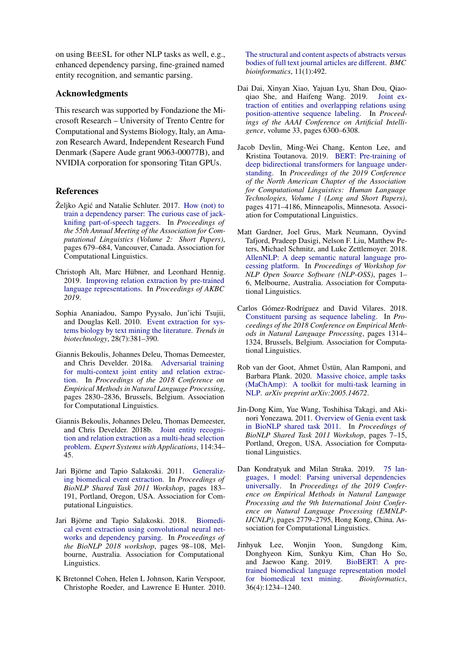on using BEESL for other NLP tasks as well, e.g., enhanced dependency parsing, fine-grained named entity recognition, and semantic parsing.

# Acknowledgments

This research was supported by Fondazione the Microsoft Research – University of Trento Centre for Computational and Systems Biology, Italy, an Amazon Research Award, Independent Research Fund Denmark (Sapere Aude grant 9063-00077B), and NVIDIA corporation for sponsoring Titan GPUs.

# References

- <span id="page-8-11"></span>Željko Agić and Natalie Schluter. 2017. [How \(not\) to](https://doi.org/10.18653/v1/P17-2107) [train a dependency parser: The curious case of jack](https://doi.org/10.18653/v1/P17-2107)[knifing part-of-speech taggers.](https://doi.org/10.18653/v1/P17-2107) In *Proceedings of the 55th Annual Meeting of the Association for Computational Linguistics (Volume 2: Short Papers)*, pages 679–684, Vancouver, Canada. Association for Computational Linguistics.
- <span id="page-8-4"></span>Christoph Alt, Marc Hübner, and Leonhard Hennig. 2019. [Improving relation extraction by pre-trained](https://openreview.net/forum?id=BJgrxbqp67) [language representations.](https://openreview.net/forum?id=BJgrxbqp67) In *Proceedings of AKBC 2019*.
- <span id="page-8-0"></span>Sophia Ananiadou, Sampo Pyysalo, Jun'ichi Tsujii, and Douglas Kell. 2010. [Event extraction for sys](https://doi.org/10.1016/j.tibtech.2010.04.005)[tems biology by text mining the literature.](https://doi.org/10.1016/j.tibtech.2010.04.005) *Trends in biotechnology*, 28(7):381–390.
- <span id="page-8-13"></span>Giannis Bekoulis, Johannes Deleu, Thomas Demeester, and Chris Develder. 2018a. [Adversarial training](https://doi.org/10.18653/v1/D18-1307) [for multi-context joint entity and relation extrac](https://doi.org/10.18653/v1/D18-1307)[tion.](https://doi.org/10.18653/v1/D18-1307) In *Proceedings of the 2018 Conference on Empirical Methods in Natural Language Processing*, pages 2830–2836, Brussels, Belgium. Association for Computational Linguistics.
- <span id="page-8-14"></span>Giannis Bekoulis, Johannes Deleu, Thomas Demeester, and Chris Develder. 2018b. [Joint entity recogni](https://doi.org/10.1016/j.eswa.2018.07.032)[tion and relation extraction as a multi-head selection](https://doi.org/10.1016/j.eswa.2018.07.032) [problem.](https://doi.org/10.1016/j.eswa.2018.07.032) *Expert Systems with Applications*, 114:34– 45.
- <span id="page-8-6"></span>Jari Björne and Tapio Salakoski. 2011. [Generaliz](https://www.aclweb.org/anthology/W11-1828)[ing biomedical event extraction.](https://www.aclweb.org/anthology/W11-1828) In *Proceedings of BioNLP Shared Task 2011 Workshop*, pages 183– 191, Portland, Oregon, USA. Association for Computational Linguistics.
- <span id="page-8-2"></span>Jari Björne and Tapio Salakoski. 2018. [Biomedi](https://doi.org/10.18653/v1/W18-2311)[cal event extraction using convolutional neural net](https://doi.org/10.18653/v1/W18-2311)[works and dependency parsing.](https://doi.org/10.18653/v1/W18-2311) In *Proceedings of the BioNLP 2018 workshop*, pages 98–108, Melbourne, Australia. Association for Computational Linguistics.
- <span id="page-8-10"></span>K Bretonnel Cohen, Helen L Johnson, Karin Verspoor, Christophe Roeder, and Lawrence E Hunter. 2010.

[The structural and content aspects of abstracts versus](https://bmcbioinformatics.biomedcentral.com/articles/10.1186/1471-2105-11-492) [bodies of full text journal articles are different.](https://bmcbioinformatics.biomedcentral.com/articles/10.1186/1471-2105-11-492) *BMC bioinformatics*, 11(1):492.

- <span id="page-8-15"></span>Dai Dai, Xinyan Xiao, Yajuan Lyu, Shan Dou, Qiaoqiao She, and Haifeng Wang. 2019. [Joint ex](https://www.aaai.org/ojs/index.php/AAAI/article/view/4591)[traction of entities and overlapping relations using](https://www.aaai.org/ojs/index.php/AAAI/article/view/4591) [position-attentive sequence labeling.](https://www.aaai.org/ojs/index.php/AAAI/article/view/4591) In *Proceedings of the AAAI Conference on Artificial Intelligence*, volume 33, pages 6300–6308.
- <span id="page-8-3"></span>Jacob Devlin, Ming-Wei Chang, Kenton Lee, and Kristina Toutanova. 2019. [BERT: Pre-training of](https://doi.org/10.18653/v1/N19-1423) [deep bidirectional transformers for language under](https://doi.org/10.18653/v1/N19-1423)[standing.](https://doi.org/10.18653/v1/N19-1423) In *Proceedings of the 2019 Conference of the North American Chapter of the Association for Computational Linguistics: Human Language Technologies, Volume 1 (Long and Short Papers)*, pages 4171–4186, Minneapolis, Minnesota. Association for Computational Linguistics.
- <span id="page-8-9"></span>Matt Gardner, Joel Grus, Mark Neumann, Oyvind Tafjord, Pradeep Dasigi, Nelson F. Liu, Matthew Peters, Michael Schmitz, and Luke Zettlemoyer. 2018. [AllenNLP: A deep semantic natural language pro](https://doi.org/10.18653/v1/W18-2501)[cessing platform.](https://doi.org/10.18653/v1/W18-2501) In *Proceedings of Workshop for NLP Open Source Software (NLP-OSS)*, pages 1– 6, Melbourne, Australia. Association for Computational Linguistics.
- <span id="page-8-12"></span>Carlos Gómez-Rodríguez and David Vilares. 2018. [Constituent parsing as sequence labeling.](https://doi.org/10.18653/v1/D18-1162) In *Proceedings of the 2018 Conference on Empirical Methods in Natural Language Processing*, pages 1314– 1324, Brussels, Belgium. Association for Computational Linguistics.
- <span id="page-8-7"></span>Rob van der Goot, Ahmet Üstün, Alan Ramponi, and Barbara Plank. 2020. [Massive choice, ample tasks](https://arxiv.org/abs/2005.14672) [\(MaChAmp\): A toolkit for multi-task learning in](https://arxiv.org/abs/2005.14672) [NLP.](https://arxiv.org/abs/2005.14672) *arXiv preprint arXiv:2005.14672*.
- <span id="page-8-1"></span>Jin-Dong Kim, Yue Wang, Toshihisa Takagi, and Akinori Yonezawa. 2011. [Overview of Genia event task](https://www.aclweb.org/anthology/W11-1802) [in BioNLP shared task 2011.](https://www.aclweb.org/anthology/W11-1802) In *Proceedings of BioNLP Shared Task 2011 Workshop*, pages 7–15, Portland, Oregon, USA. Association for Computational Linguistics.
- <span id="page-8-5"></span>Dan Kondratyuk and Milan Straka. 2019. [75 lan](https://doi.org/10.18653/v1/d19-1279)[guages, 1 model: Parsing universal dependencies](https://doi.org/10.18653/v1/d19-1279) [universally.](https://doi.org/10.18653/v1/d19-1279) In *Proceedings of the 2019 Conference on Empirical Methods in Natural Language Processing and the 9th International Joint Conference on Natural Language Processing (EMNLP-IJCNLP)*, pages 2779–2795, Hong Kong, China. Association for Computational Linguistics.
- <span id="page-8-8"></span>Jinhyuk Lee, Wonjin Yoon, Sungdong Kim, Donghyeon Kim, Sunkyu Kim, Chan Ho So, and Jaewoo Kang. 2019. BioBERT: A preand Jaewoo Kang. 2019. [trained biomedical language representation model](https://doi.org/10.1093/bioinformatics/btz682) [for biomedical text mining.](https://doi.org/10.1093/bioinformatics/btz682) *Bioinformatics*, 36(4):1234–1240.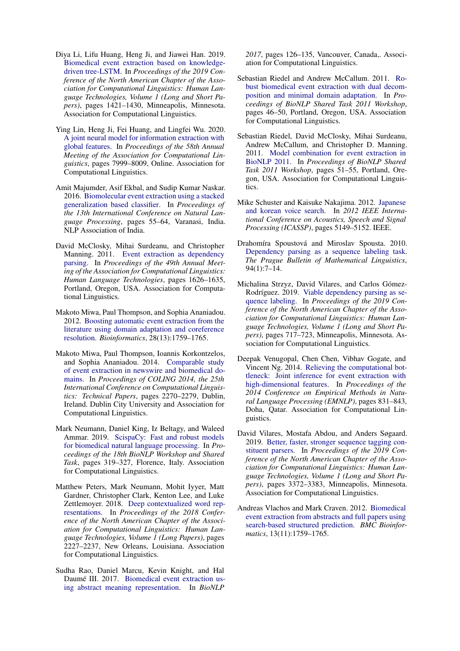- <span id="page-9-0"></span>Diya Li, Lifu Huang, Heng Ji, and Jiawei Han. 2019. [Biomedical event extraction based on knowledge](https://doi.org/10.18653/v1/N19-1145)[driven tree-LSTM.](https://doi.org/10.18653/v1/N19-1145) In *Proceedings of the 2019 Conference of the North American Chapter of the Association for Computational Linguistics: Human Language Technologies, Volume 1 (Long and Short Papers)*, pages 1421–1430, Minneapolis, Minnesota. Association for Computational Linguistics.
- <span id="page-9-15"></span>Ying Lin, Heng Ji, Fei Huang, and Lingfei Wu. 2020. [A joint neural model for information extraction with](https://doi.org/10.18653/v1/2020.acl-main.713) [global features.](https://doi.org/10.18653/v1/2020.acl-main.713) In *Proceedings of the 58th Annual Meeting of the Association for Computational Linguistics*, pages 7999–8009, Online. Association for Computational Linguistics.
- <span id="page-9-9"></span>Amit Majumder, Asif Ekbal, and Sudip Kumar Naskar. 2016. [Biomolecular event extraction using a stacked](https://www.aclweb.org/anthology/W16-6308) [generalization based classifier.](https://www.aclweb.org/anthology/W16-6308) In *Proceedings of the 13th International Conference on Natural Language Processing*, pages 55–64, Varanasi, India. NLP Association of India.
- <span id="page-9-12"></span>David McClosky, Mihai Surdeanu, and Christopher Manning. 2011. [Event extraction as dependency](https://www.aclweb.org/anthology/P11-1163) [parsing.](https://www.aclweb.org/anthology/P11-1163) In *Proceedings of the 49th Annual Meeting of the Association for Computational Linguistics: Human Language Technologies*, pages 1626–1635, Portland, Oregon, USA. Association for Computational Linguistics.
- <span id="page-9-7"></span>Makoto Miwa, Paul Thompson, and Sophia Ananiadou. 2012. [Boosting automatic event extraction from the](https://doi.org/10.1093/bioinformatics/bts237) [literature using domain adaptation and coreference](https://doi.org/10.1093/bioinformatics/bts237) [resolution.](https://doi.org/10.1093/bioinformatics/bts237) *Bioinformatics*, 28(13):1759–1765.
- <span id="page-9-1"></span>Makoto Miwa, Paul Thompson, Ioannis Korkontzelos, and Sophia Ananiadou. 2014. [Comparable study](https://www.aclweb.org/anthology/C14-1214) [of event extraction in newswire and biomedical do](https://www.aclweb.org/anthology/C14-1214)[mains.](https://www.aclweb.org/anthology/C14-1214) In *Proceedings of COLING 2014, the 25th International Conference on Computational Linguistics: Technical Papers*, pages 2270–2279, Dublin, Ireland. Dublin City University and Association for Computational Linguistics.
- <span id="page-9-16"></span>Mark Neumann, Daniel King, Iz Beltagy, and Waleed Ammar. 2019. [ScispaCy: Fast and robust models](https://doi.org/10.18653/v1/W19-5034) [for biomedical natural language processing.](https://doi.org/10.18653/v1/W19-5034) In *Proceedings of the 18th BioNLP Workshop and Shared Task*, pages 319–327, Florence, Italy. Association for Computational Linguistics.
- <span id="page-9-4"></span>Matthew Peters, Mark Neumann, Mohit Iyyer, Matt Gardner, Christopher Clark, Kenton Lee, and Luke Zettlemoyer. 2018. [Deep contextualized word rep](https://doi.org/10.18653/v1/N18-1202)[resentations.](https://doi.org/10.18653/v1/N18-1202) In *Proceedings of the 2018 Conference of the North American Chapter of the Association for Computational Linguistics: Human Language Technologies, Volume 1 (Long Papers)*, pages 2227–2237, New Orleans, Louisiana. Association for Computational Linguistics.
- <span id="page-9-13"></span>Sudha Rao, Daniel Marcu, Kevin Knight, and Hal Daumé III. 2017. [Biomedical event extraction us](https://doi.org/10.18653/v1/W17-2315)[ing abstract meaning representation.](https://doi.org/10.18653/v1/W17-2315) In *BioNLP*

*2017*, pages 126–135, Vancouver, Canada,. Association for Computational Linguistics.

- <span id="page-9-14"></span>Sebastian Riedel and Andrew McCallum. 2011. [Ro](https://www.aclweb.org/anthology/W11-1807)[bust biomedical event extraction with dual decom](https://www.aclweb.org/anthology/W11-1807)[position and minimal domain adaptation.](https://www.aclweb.org/anthology/W11-1807) In *Proceedings of BioNLP Shared Task 2011 Workshop*, pages 46–50, Portland, Oregon, USA. Association for Computational Linguistics.
- <span id="page-9-6"></span>Sebastian Riedel, David McClosky, Mihai Surdeanu, Andrew McCallum, and Christopher D. Manning. 2011. [Model combination for event extraction in](https://www.aclweb.org/anthology/W11-1808) [BioNLP 2011.](https://www.aclweb.org/anthology/W11-1808) In *Proceedings of BioNLP Shared Task 2011 Workshop*, pages 51–55, Portland, Oregon, USA. Association for Computational Linguistics.
- <span id="page-9-3"></span>Mike Schuster and Kaisuke Nakajima. 2012. [Japanese](https://ieeexplore.ieee.org/document/6289079) [and korean voice search.](https://ieeexplore.ieee.org/document/6289079) In *2012 IEEE International Conference on Acoustics, Speech and Signal Processing (ICASSP)*, pages 5149–5152. IEEE.
- <span id="page-9-11"></span>Drahomíra Spoustová and Miroslav Spousta. 2010. [Dependency parsing as a sequence labeling task.](https://content.sciendo.com/view/journals/pralin/94/2010/article-p7.xml) *The Prague Bulletin of Mathematical Linguistics*, 94(1):7–14.
- <span id="page-9-2"></span>Michalina Strzyz, David Vilares, and Carlos Gómez-Rodríguez. 2019. [Viable dependency parsing as se](https://doi.org/10.18653/v1/N19-1077)[quence labeling.](https://doi.org/10.18653/v1/N19-1077) In *Proceedings of the 2019 Conference of the North American Chapter of the Association for Computational Linguistics: Human Language Technologies, Volume 1 (Long and Short Papers)*, pages 717–723, Minneapolis, Minnesota. Association for Computational Linguistics.
- <span id="page-9-8"></span>Deepak Venugopal, Chen Chen, Vibhav Gogate, and Vincent Ng. 2014. [Relieving the computational bot](https://doi.org/10.3115/v1/D14-1090)[tleneck: Joint inference for event extraction with](https://doi.org/10.3115/v1/D14-1090) [high-dimensional features.](https://doi.org/10.3115/v1/D14-1090) In *Proceedings of the 2014 Conference on Empirical Methods in Natural Language Processing (EMNLP)*, pages 831–843, Doha, Qatar. Association for Computational Linguistics.
- <span id="page-9-5"></span>David Vilares, Mostafa Abdou, and Anders Søgaard. 2019. [Better, faster, stronger sequence tagging con](https://doi.org/10.18653/v1/N19-1341)[stituent parsers.](https://doi.org/10.18653/v1/N19-1341) In *Proceedings of the 2019 Conference of the North American Chapter of the Association for Computational Linguistics: Human Language Technologies, Volume 1 (Long and Short Papers)*, pages 3372–3383, Minneapolis, Minnesota. Association for Computational Linguistics.
- <span id="page-9-10"></span>Andreas Vlachos and Mark Craven. 2012. [Biomedical](https://doi.org/10.1186/1471-2105-13-S11-S5) [event extraction from abstracts and full papers using](https://doi.org/10.1186/1471-2105-13-S11-S5) [search-based structured prediction.](https://doi.org/10.1186/1471-2105-13-S11-S5) *BMC Bioinformatics*, 13(11):1759–1765.